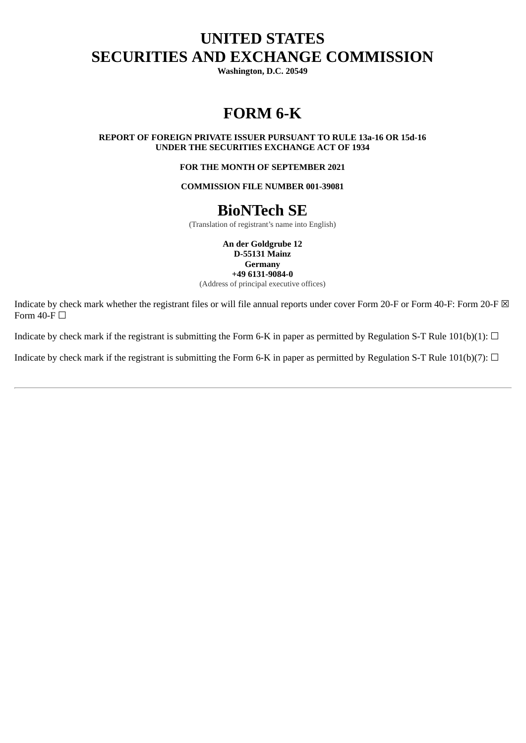# **UNITED STATES SECURITIES AND EXCHANGE COMMISSION**

**Washington, D.C. 20549**

# **FORM 6-K**

**REPORT OF FOREIGN PRIVATE ISSUER PURSUANT TO RULE 13a‑16 OR 15d‑16 UNDER THE SECURITIES EXCHANGE ACT OF 1934**

**FOR THE MONTH OF SEPTEMBER 2021**

**COMMISSION FILE NUMBER 001-39081**

# **BioNTech SE**

(Translation of registrant's name into English)

**An der Goldgrube 12 D-55131 Mainz Germany +49 6131-9084-0**

(Address of principal executive offices)

Indicate by check mark whether the registrant files or will file annual reports under cover Form 20-F or Form 40-F: Form 20-F  $\boxtimes$ Form  $40$ -F $\Box$ 

Indicate by check mark if the registrant is submitting the Form 6-K in paper as permitted by Regulation S-T Rule 101(b)(1):  $\Box$ 

Indicate by check mark if the registrant is submitting the Form 6-K in paper as permitted by Regulation S-T Rule 101(b)(7):  $\Box$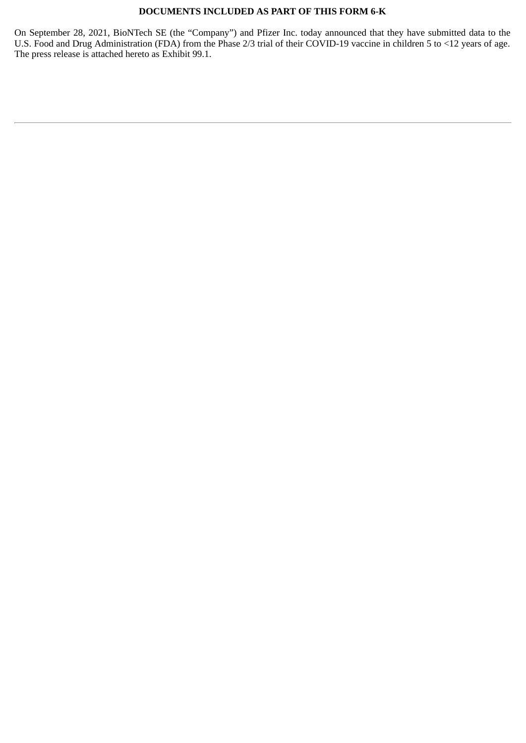# **DOCUMENTS INCLUDED AS PART OF THIS FORM 6-K**

On September 28, 2021, BioNTech SE (the "Company") and Pfizer Inc. today announced that they have submitted data to the U.S. Food and Drug Administration (FDA) from the Phase 2/3 trial of their COVID-19 vaccine in children 5 to <12 years of age. The press release is attached hereto as Exhibit 99.1.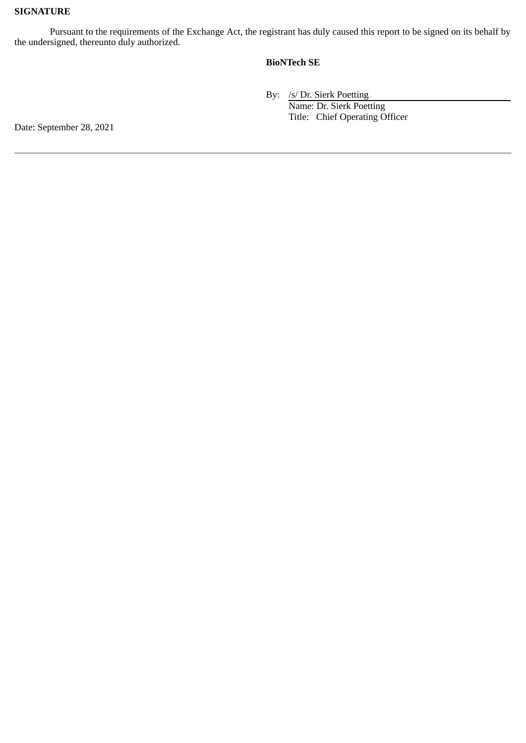# **SIGNATURE**

Pursuant to the requirements of the Exchange Act, the registrant has duly caused this report to be signed on its behalf by the undersigned, thereunto duly authorized.

# **BioNTech SE**

By: /s/ Dr. Sierk Poetting Name: Dr. Sierk Poetting Title: Chief Operating Officer

Date: September 28, 2021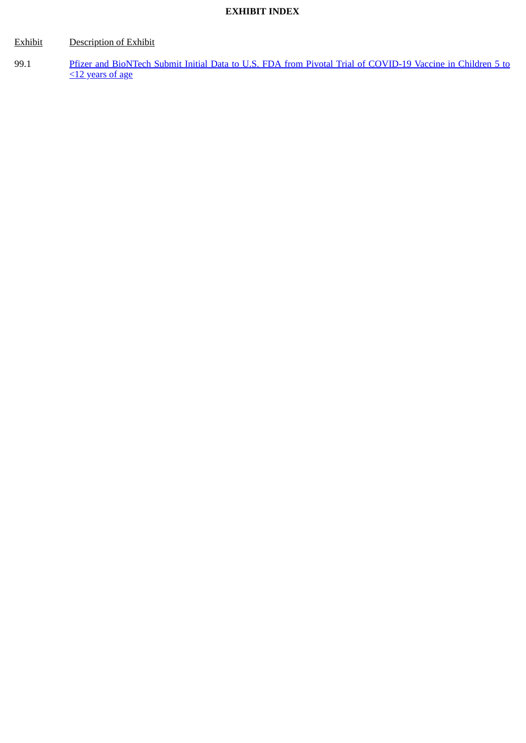# **EXHIBIT INDEX**

# Exhibit Description of Exhibit

99.1 Pfizer and [BioNTech Submit Initial Data to U.S. FDA from Pivotal Trial of COVID-19 Vaccine in Children 5 to](#page-4-0) <12 years of age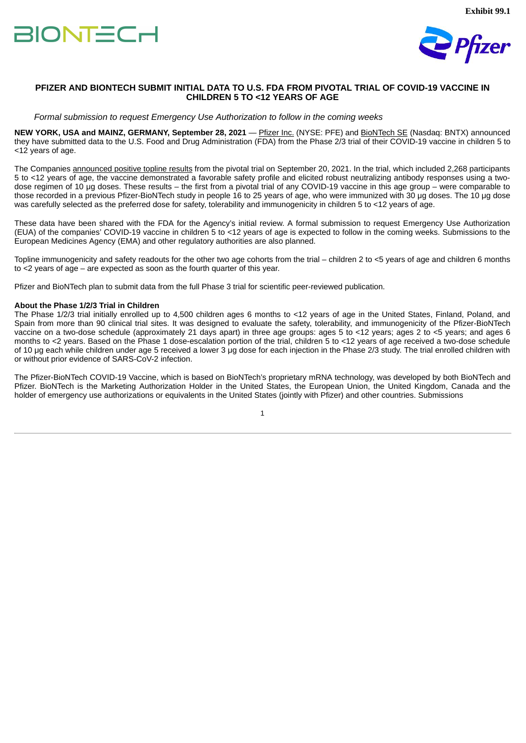

## <span id="page-4-0"></span>**PFIZER AND BIONTECH SUBMIT INITIAL DATA TO U.S. FDA FROM PIVOTAL TRIAL OF COVID-19 VACCINE IN CHILDREN 5 TO <12 YEARS OF AGE**

*Formal submission to request Emergency Use Authorization to follow in the coming weeks*

**NEW YORK, USA and MAINZ, GERMANY, September 28, 2021** — Pfizer Inc. (NYSE: PFE) and BioNTech SE (Nasdaq: BNTX) announced they have submitted data to the U.S. Food and Drug Administration (FDA) from the Phase 2/3 trial of their COVID-19 vaccine in children 5 to <12 years of age.

The Companies announced positive topline results from the pivotal trial on September 20, 2021. In the trial, which included 2,268 participants 5 to <12 years of age, the vaccine demonstrated a favorable safety profile and elicited robust neutralizing antibody responses using a twodose regimen of 10 μg doses. These results – the first from a pivotal trial of any COVID-19 vaccine in this age group – were comparable to those recorded in a previous Pfizer-BioNTech study in people 16 to 25 years of age, who were immunized with 30 μg doses. The 10 μg dose was carefully selected as the preferred dose for safety, tolerability and immunogenicity in children 5 to <12 years of age.

These data have been shared with the FDA for the Agency's initial review. A formal submission to request Emergency Use Authorization (EUA) of the companies' COVID-19 vaccine in children 5 to <12 years of age is expected to follow in the coming weeks. Submissions to the European Medicines Agency (EMA) and other regulatory authorities are also planned.

Topline immunogenicity and safety readouts for the other two age cohorts from the trial – children 2 to <5 years of age and children 6 months to <2 years of age – are expected as soon as the fourth quarter of this year.

Pfizer and BioNTech plan to submit data from the full Phase 3 trial for scientific peer-reviewed publication.

#### **About the Phase 1/2/3 Trial in Children**

The Phase 1/2/3 trial initially enrolled up to 4,500 children ages 6 months to <12 years of age in the United States, Finland, Poland, and Spain from more than 90 clinical trial sites. It was designed to evaluate the safety, tolerability, and immunogenicity of the Pfizer-BioNTech vaccine on a two-dose schedule (approximately 21 days apart) in three age groups: ages 5 to <12 years; ages 2 to <5 years; and ages 6 months to <2 years. Based on the Phase 1 dose-escalation portion of the trial, children 5 to <12 years of age received a two-dose schedule of 10 μg each while children under age 5 received a lower 3 μg dose for each injection in the Phase 2/3 study. The trial enrolled children with or without prior evidence of SARS-CoV-2 infection.

The Pfizer-BioNTech COVID-19 Vaccine, which is based on BioNTech's proprietary mRNA technology, was developed by both BioNTech and Pfizer. BioNTech is the Marketing Authorization Holder in the United States, the European Union, the United Kingdom, Canada and the holder of emergency use authorizations or equivalents in the United States (jointly with Pfizer) and other countries. Submissions

1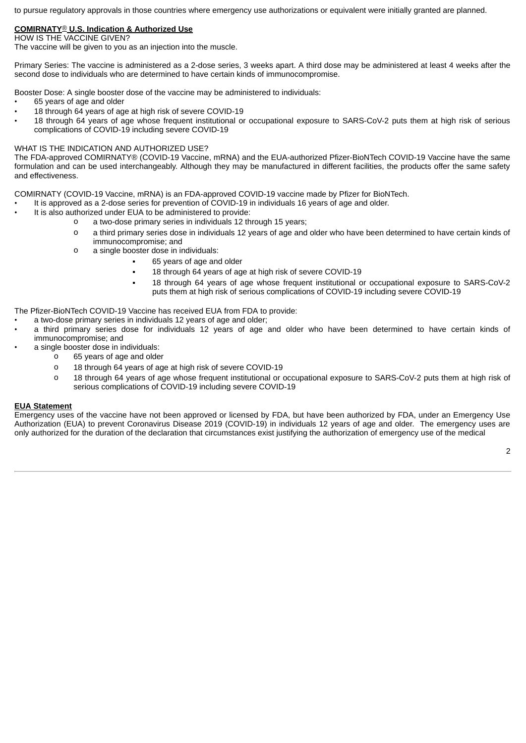to pursue regulatory approvals in those countries where emergency use authorizations or equivalent were initially granted are planned.

# **COMIRNATY**® **U.S. Indication & Authorized Use**

HOW IS THE VACCINE GIVEN?

The vaccine will be given to you as an injection into the muscle.

Primary Series: The vaccine is administered as a 2-dose series, 3 weeks apart. A third dose may be administered at least 4 weeks after the second dose to individuals who are determined to have certain kinds of immunocompromise.

Booster Dose: A single booster dose of the vaccine may be administered to individuals:

- 65 years of age and older
- 18 through 64 years of age at high risk of severe COVID-19
- 18 through 64 years of age whose frequent institutional or occupational exposure to SARS-CoV-2 puts them at high risk of serious complications of COVID-19 including severe COVID-19

### WHAT IS THE INDICATION AND AUTHORIZED USE?

The FDA-approved COMIRNATY® (COVID-19 Vaccine, mRNA) and the EUA-authorized Pfizer-BioNTech COVID-19 Vaccine have the same formulation and can be used interchangeably. Although they may be manufactured in different facilities, the products offer the same safety and effectiveness.

COMIRNATY (COVID-19 Vaccine, mRNA) is an FDA-approved COVID-19 vaccine made by Pfizer for BioNTech.

- It is approved as a 2-dose series for prevention of COVID-19 in individuals 16 years of age and older.
- It is also authorized under EUA to be administered to provide:
	- o a two-dose primary series in individuals 12 through 15 years;
	- o a third primary series dose in individuals 12 years of age and older who have been determined to have certain kinds of immunocompromise; and
	- o a single booster dose in individuals:
		- 65 years of age and older
		- **18 through 64 years of age at high risk of severe COVID-19**
		- 18 through 64 years of age whose frequent institutional or occupational exposure to SARS-CoV-2 puts them at high risk of serious complications of COVID-19 including severe COVID-19

The Pfizer-BioNTech COVID-19 Vaccine has received EUA from FDA to provide:

- a two-dose primary series in individuals 12 years of age and older;
- a third primary series dose for individuals 12 years of age and older who have been determined to have certain kinds of immunocompromise; and
- a single booster dose in individuals:
	- o 65 years of age and older
	- o 18 through 64 years of age at high risk of severe COVID-19
	- o 18 through 64 years of age whose frequent institutional or occupational exposure to SARS-CoV-2 puts them at high risk of serious complications of COVID-19 including severe COVID-19

### **EUA Statement**

Emergency uses of the vaccine have not been approved or licensed by FDA, but have been authorized by FDA, under an Emergency Use Authorization (EUA) to prevent Coronavirus Disease 2019 (COVID-19) in individuals 12 years of age and older. The emergency uses are only authorized for the duration of the declaration that circumstances exist justifying the authorization of emergency use of the medical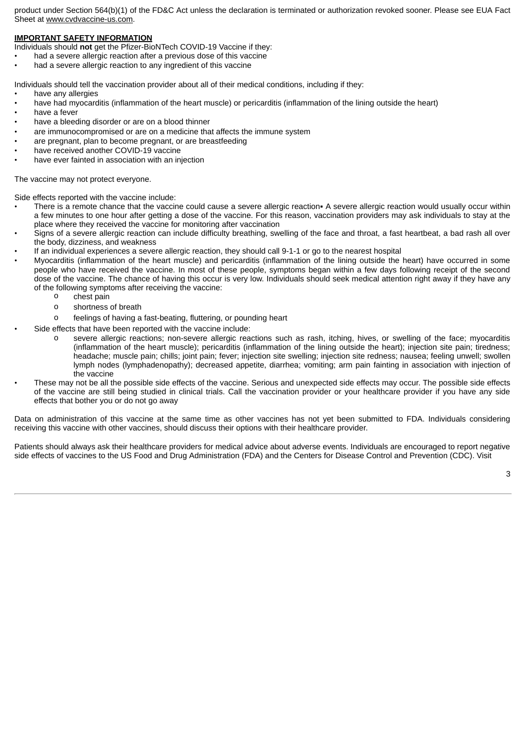product under Section 564(b)(1) of the FD&C Act unless the declaration is terminated or authorization revoked sooner. Please see EUA Fact Sheet at www.cvdvaccine-us.com.

## **IMPORTANT SAFETY INFORMATION**

Individuals should **not** get the Pfizer-BioNTech COVID-19 Vaccine if they:

- had a severe allergic reaction after a previous dose of this vaccine
- had a severe allergic reaction to any ingredient of this vaccine

Individuals should tell the vaccination provider about all of their medical conditions, including if they:

- have any allergies
- have had myocarditis (inflammation of the heart muscle) or pericarditis (inflammation of the lining outside the heart)
- have a fever
- have a bleeding disorder or are on a blood thinner
- are immunocompromised or are on a medicine that affects the immune system
- are pregnant, plan to become pregnant, or are breastfeeding
- have received another COVID-19 vaccine
- have ever fainted in association with an injection

The vaccine may not protect everyone.

Side effects reported with the vaccine include:

- There is a remote chance that the vaccine could cause a severe allergic reaction. A severe allergic reaction would usually occur within a few minutes to one hour after getting a dose of the vaccine. For this reason, vaccination providers may ask individuals to stay at the place where they received the vaccine for monitoring after vaccination
- Signs of a severe allergic reaction can include difficulty breathing, swelling of the face and throat, a fast heartbeat, a bad rash all over the body, dizziness, and weakness
- If an individual experiences a severe allergic reaction, they should call 9-1-1 or go to the nearest hospital
- Myocarditis (inflammation of the heart muscle) and pericarditis (inflammation of the lining outside the heart) have occurred in some people who have received the vaccine. In most of these people, symptoms began within a few days following receipt of the second dose of the vaccine. The chance of having this occur is very low. Individuals should seek medical attention right away if they have any of the following symptoms after receiving the vaccine:
	- o chest pain
	- o shortness of breath
	- o feelings of having a fast-beating, fluttering, or pounding heart
	- Side effects that have been reported with the vaccine include:
		- o severe allergic reactions; non-severe allergic reactions such as rash, itching, hives, or swelling of the face; myocarditis (inflammation of the heart muscle); pericarditis (inflammation of the lining outside the heart); injection site pain; tiredness; headache; muscle pain; chills; joint pain; fever; injection site swelling; injection site redness; nausea; feeling unwell; swollen lymph nodes (lymphadenopathy); decreased appetite, diarrhea; vomiting; arm pain fainting in association with injection of the vaccine
- These may not be all the possible side effects of the vaccine. Serious and unexpected side effects may occur. The possible side effects of the vaccine are still being studied in clinical trials. Call the vaccination provider or your healthcare provider if you have any side effects that bother you or do not go away

Data on administration of this vaccine at the same time as other vaccines has not yet been submitted to FDA. Individuals considering receiving this vaccine with other vaccines, should discuss their options with their healthcare provider.

Patients should always ask their healthcare providers for medical advice about adverse events. Individuals are encouraged to report negative side effects of vaccines to the US Food and Drug Administration (FDA) and the Centers for Disease Control and Prevention (CDC). Visit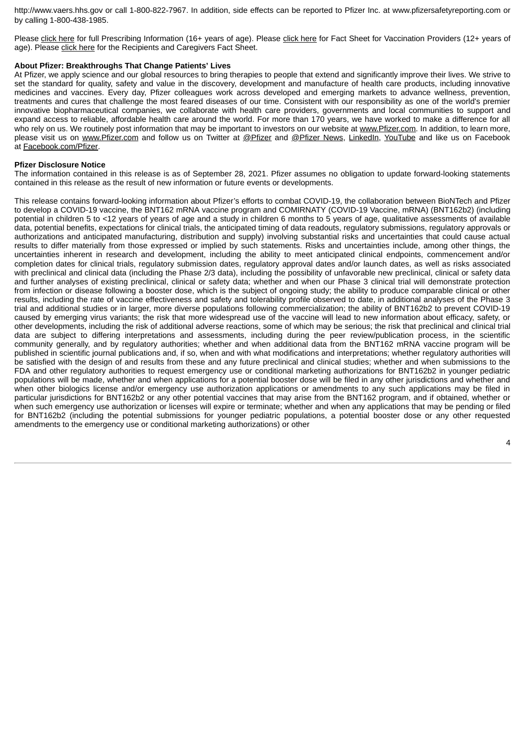http://www.vaers.hhs.gov or call 1‐800‐822‐7967. In addition, side effects can be reported to Pfizer Inc. at www.pfizersafetyreporting.com or by calling 1-800-438-1985.

Please click here for full Prescribing Information (16+ years of age). Please click here for Fact Sheet for Vaccination Providers (12+ years of age). Please click here for the Recipients and Caregivers Fact Sheet.

#### **About Pfizer: Breakthroughs That Change Patients' Lives**

At Pfizer, we apply science and our global resources to bring therapies to people that extend and significantly improve their lives. We strive to set the standard for quality, safety and value in the discovery, development and manufacture of health care products, including innovative medicines and vaccines. Every day, Pfizer colleagues work across developed and emerging markets to advance wellness, prevention, treatments and cures that challenge the most feared diseases of our time. Consistent with our responsibility as one of the world's premier innovative biopharmaceutical companies, we collaborate with health care providers, governments and local communities to support and expand access to reliable, affordable health care around the world. For more than 170 years, we have worked to make a difference for all who rely on us. We routinely post information that may be important to investors on our website at www.Pfizer.com. In addition, to learn more, please visit us on www.Pfizer.com and follow us on Twitter at @Pfizer and @Pfizer News, LinkedIn, YouTube and like us on Facebook at Facebook.com/Pfizer.

#### **Pfizer Disclosure Notice**

The information contained in this release is as of September 28, 2021. Pfizer assumes no obligation to update forward-looking statements contained in this release as the result of new information or future events or developments.

This release contains forward-looking information about Pfizer's efforts to combat COVID-19, the collaboration between BioNTech and Pfizer to develop a COVID-19 vaccine, the BNT162 mRNA vaccine program and COMIRNATY (COVID-19 Vaccine, mRNA) (BNT162b2) (including potential in children 5 to <12 years of years of age and a study in children 6 months to 5 years of age, qualitative assessments of available data, potential benefits, expectations for clinical trials, the anticipated timing of data readouts, regulatory submissions, regulatory approvals or authorizations and anticipated manufacturing, distribution and supply) involving substantial risks and uncertainties that could cause actual results to differ materially from those expressed or implied by such statements. Risks and uncertainties include, among other things, the uncertainties inherent in research and development, including the ability to meet anticipated clinical endpoints, commencement and/or completion dates for clinical trials, regulatory submission dates, regulatory approval dates and/or launch dates, as well as risks associated with preclinical and clinical data (including the Phase 2/3 data), including the possibility of unfavorable new preclinical, clinical or safety data and further analyses of existing preclinical, clinical or safety data; whether and when our Phase 3 clinical trial will demonstrate protection from infection or disease following a booster dose, which is the subject of ongoing study; the ability to produce comparable clinical or other results, including the rate of vaccine effectiveness and safety and tolerability profile observed to date, in additional analyses of the Phase 3 trial and additional studies or in larger, more diverse populations following commercialization; the ability of BNT162b2 to prevent COVID-19 caused by emerging virus variants; the risk that more widespread use of the vaccine will lead to new information about efficacy, safety, or other developments, including the risk of additional adverse reactions, some of which may be serious; the risk that preclinical and clinical trial data are subject to differing interpretations and assessments, including during the peer review/publication process, in the scientific community generally, and by regulatory authorities; whether and when additional data from the BNT162 mRNA vaccine program will be published in scientific journal publications and, if so, when and with what modifications and interpretations; whether regulatory authorities will be satisfied with the design of and results from these and any future preclinical and clinical studies; whether and when submissions to the FDA and other regulatory authorities to request emergency use or conditional marketing authorizations for BNT162b2 in younger pediatric populations will be made, whether and when applications for a potential booster dose will be filed in any other jurisdictions and whether and when other biologics license and/or emergency use authorization applications or amendments to any such applications may be filed in particular jurisdictions for BNT162b2 or any other potential vaccines that may arise from the BNT162 program, and if obtained, whether or when such emergency use authorization or licenses will expire or terminate; whether and when any applications that may be pending or filed for BNT162b2 (including the potential submissions for younger pediatric populations, a potential booster dose or any other requested amendments to the emergency use or conditional marketing authorizations) or other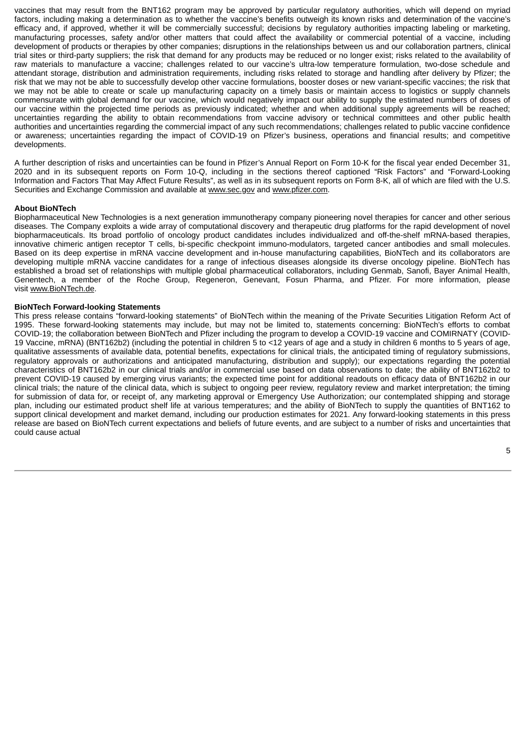vaccines that may result from the BNT162 program may be approved by particular regulatory authorities, which will depend on myriad factors, including making a determination as to whether the vaccine's benefits outweigh its known risks and determination of the vaccine's efficacy and, if approved, whether it will be commercially successful; decisions by regulatory authorities impacting labeling or marketing, manufacturing processes, safety and/or other matters that could affect the availability or commercial potential of a vaccine, including development of products or therapies by other companies; disruptions in the relationships between us and our collaboration partners, clinical trial sites or third-party suppliers; the risk that demand for any products may be reduced or no longer exist; risks related to the availability of raw materials to manufacture a vaccine; challenges related to our vaccine's ultra-low temperature formulation, two-dose schedule and attendant storage, distribution and administration requirements, including risks related to storage and handling after delivery by Pfizer; the risk that we may not be able to successfully develop other vaccine formulations, booster doses or new variant-specific vaccines; the risk that we may not be able to create or scale up manufacturing capacity on a timely basis or maintain access to logistics or supply channels commensurate with global demand for our vaccine, which would negatively impact our ability to supply the estimated numbers of doses of our vaccine within the projected time periods as previously indicated; whether and when additional supply agreements will be reached; uncertainties regarding the ability to obtain recommendations from vaccine advisory or technical committees and other public health authorities and uncertainties regarding the commercial impact of any such recommendations; challenges related to public vaccine confidence or awareness; uncertainties regarding the impact of COVID-19 on Pfizer's business, operations and financial results; and competitive developments.

A further description of risks and uncertainties can be found in Pfizer's Annual Report on Form 10-K for the fiscal year ended December 31, 2020 and in its subsequent reports on Form 10-Q, including in the sections thereof captioned "Risk Factors" and "Forward-Looking Information and Factors That May Affect Future Results", as well as in its subsequent reports on Form 8-K, all of which are filed with the U.S. Securities and Exchange Commission and available at www.sec.gov and www.pfizer.com.

## **About BioNTech**

Biopharmaceutical New Technologies is a next generation immunotherapy company pioneering novel therapies for cancer and other serious diseases. The Company exploits a wide array of computational discovery and therapeutic drug platforms for the rapid development of novel biopharmaceuticals. Its broad portfolio of oncology product candidates includes individualized and off-the-shelf mRNA-based therapies, innovative chimeric antigen receptor T cells, bi-specific checkpoint immuno-modulators, targeted cancer antibodies and small molecules. Based on its deep expertise in mRNA vaccine development and in-house manufacturing capabilities, BioNTech and its collaborators are developing multiple mRNA vaccine candidates for a range of infectious diseases alongside its diverse oncology pipeline. BioNTech has established a broad set of relationships with multiple global pharmaceutical collaborators, including Genmab, Sanofi, Bayer Animal Health, Genentech, a member of the Roche Group, Regeneron, Genevant, Fosun Pharma, and Pfizer. For more information, please visit www.BioNTech.de.

### **BioNTech Forward-looking Statements**

This press release contains "forward-looking statements" of BioNTech within the meaning of the Private Securities Litigation Reform Act of 1995. These forward-looking statements may include, but may not be limited to, statements concerning: BioNTech's efforts to combat COVID-19; the collaboration between BioNTech and Pfizer including the program to develop a COVID-19 vaccine and COMIRNATY (COVID-19 Vaccine, mRNA) (BNT162b2) (including the potential in children 5 to <12 years of age and a study in children 6 months to 5 years of age, qualitative assessments of available data, potential benefits, expectations for clinical trials, the anticipated timing of regulatory submissions, regulatory approvals or authorizations and anticipated manufacturing, distribution and supply); our expectations regarding the potential characteristics of BNT162b2 in our clinical trials and/or in commercial use based on data observations to date; the ability of BNT162b2 to prevent COVID-19 caused by emerging virus variants; the expected time point for additional readouts on efficacy data of BNT162b2 in our clinical trials; the nature of the clinical data, which is subject to ongoing peer review, regulatory review and market interpretation; the timing for submission of data for, or receipt of, any marketing approval or Emergency Use Authorization; our contemplated shipping and storage plan, including our estimated product shelf life at various temperatures; and the ability of BioNTech to supply the quantities of BNT162 to support clinical development and market demand, including our production estimates for 2021. Any forward-looking statements in this press release are based on BioNTech current expectations and beliefs of future events, and are subject to a number of risks and uncertainties that could cause actual